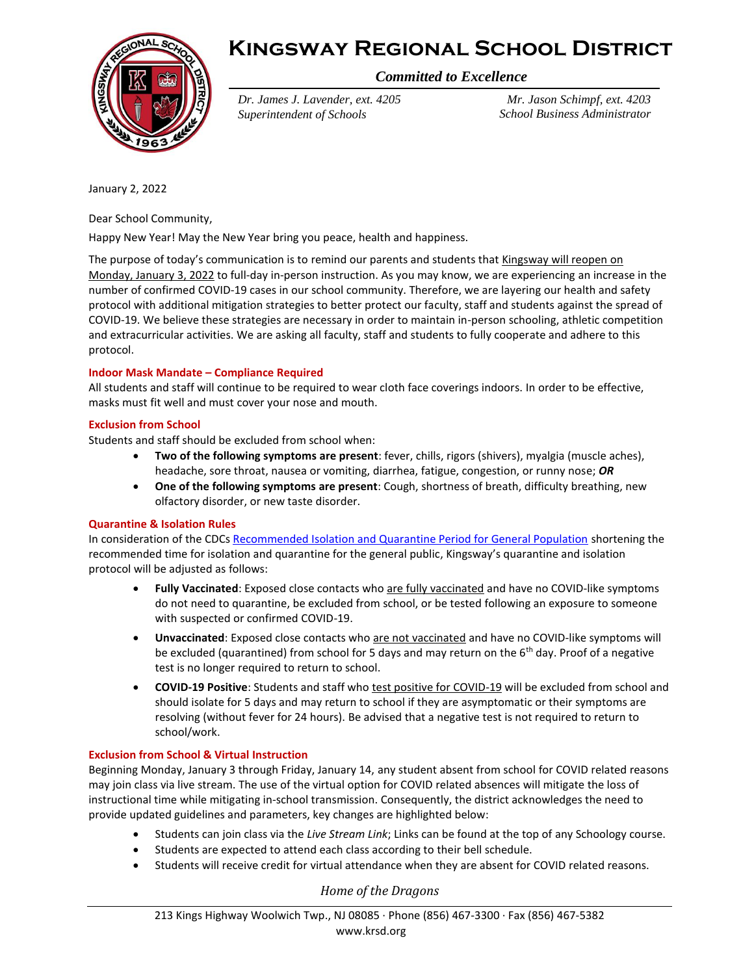



*Committed to Excellence*

*Dr. James J. Lavender, ext. 4205 Superintendent of Schools*

*Mr. Jason Schimpf, ext. 4203 School Business Administrator*

January 2, 2022

Dear School Community,

Happy New Year! May the New Year bring you peace, health and happiness.

The purpose of today's communication is to remind our parents and students that Kingsway will reopen on Monday, January 3, 2022 to full-day in-person instruction. As you may know, we are experiencing an increase in the number of confirmed COVID-19 cases in our school community. Therefore, we are layering our health and safety protocol with additional mitigation strategies to better protect our faculty, staff and students against the spread of COVID-19. We believe these strategies are necessary in order to maintain in-person schooling, athletic competition and extracurricular activities. We are asking all faculty, staff and students to fully cooperate and adhere to this protocol.

# **Indoor Mask Mandate – Compliance Required**

All students and staff will continue to be required to wear cloth face coverings indoors. In order to be effective, masks must fit well and must cover your nose and mouth.

## **Exclusion from School**

Students and staff should be excluded from school when:

- **Two of the following symptoms are present**: fever, chills, rigors (shivers), myalgia (muscle aches), headache, sore throat, nausea or vomiting, diarrhea, fatigue, congestion, or runny nose; *OR*
- **One of the following symptoms are present**: Cough, shortness of breath, difficulty breathing, new olfactory disorder, or new taste disorder.

## **Quarantine & Isolation Rules**

In consideration of the CDC[s Recommended Isolation and Quarantine Period for General Population](https://www.cdc.gov/media/releases/2021/s1227-isolation-quarantine-guidance.html) shortening the recommended time for isolation and quarantine for the general public, Kingsway's quarantine and isolation protocol will be adjusted as follows:

- Fully Vaccinated: Exposed close contacts who are fully vaccinated and have no COVID-like symptoms do not need to quarantine, be excluded from school, or be tested following an exposure to someone with suspected or confirmed COVID-19.
- **Unvaccinated**: Exposed close contacts who are not vaccinated and have no COVID-like symptoms will be excluded (quarantined) from school for 5 days and may return on the  $6<sup>th</sup>$  day. Proof of a negative test is no longer required to return to school.
- **COVID-19 Positive**: Students and staff who test positive for COVID-19 will be excluded from school and should isolate for 5 days and may return to school if they are asymptomatic or their symptoms are resolving (without fever for 24 hours). Be advised that a negative test is not required to return to school/work.

# **Exclusion from School & Virtual Instruction**

Beginning Monday, January 3 through Friday, January 14, any student absent from school for COVID related reasons may join class via live stream. The use of the virtual option for COVID related absences will mitigate the loss of instructional time while mitigating in-school transmission. Consequently, the district acknowledges the need to provide updated guidelines and parameters, key changes are highlighted below:

- Students can join class via the *Live Stream Link*; Links can be found at the top of any Schoology course.
- Students are expected to attend each class according to their bell schedule.
- Students will receive credit for virtual attendance when they are absent for COVID related reasons.

*Home of the Dragons*